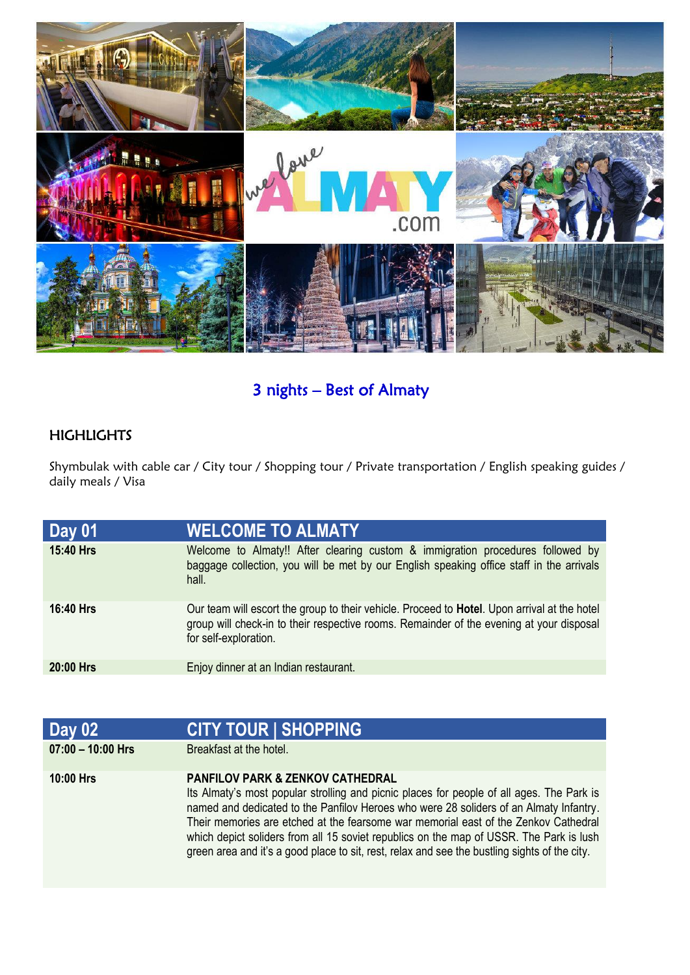

## 3 nights – Best of Almaty

## HIGHLIGHTS

Shymbulak with cable car / City tour / Shopping tour / Private transportation / English speaking guides / daily meals / Visa

| Day 01           | <b>WELCOME TO ALMATY</b>                                                                                                                                                                                          |
|------------------|-------------------------------------------------------------------------------------------------------------------------------------------------------------------------------------------------------------------|
| 15:40 Hrs        | Welcome to Almaty!! After clearing custom & immigration procedures followed by<br>baggage collection, you will be met by our English speaking office staff in the arrivals<br>hall.                               |
| <b>16:40 Hrs</b> | Our team will escort the group to their vehicle. Proceed to Hotel. Upon arrival at the hotel<br>group will check-in to their respective rooms. Remainder of the evening at your disposal<br>for self-exploration. |
| 20:00 Hrs        | Enjoy dinner at an Indian restaurant.                                                                                                                                                                             |

| <b>Day 02</b>       | <b>CITY TOUR   SHOPPING</b>                                                                                                                                                                                                                                                                                                                                                                                                                                                                                           |
|---------------------|-----------------------------------------------------------------------------------------------------------------------------------------------------------------------------------------------------------------------------------------------------------------------------------------------------------------------------------------------------------------------------------------------------------------------------------------------------------------------------------------------------------------------|
| $07:00 - 10:00$ Hrs | Breakfast at the hotel.                                                                                                                                                                                                                                                                                                                                                                                                                                                                                               |
| <b>10:00 Hrs</b>    | <b>PANFILOV PARK &amp; ZENKOV CATHEDRAL</b><br>Its Almaty's most popular strolling and picnic places for people of all ages. The Park is<br>named and dedicated to the Panfilov Heroes who were 28 soliders of an Almaty Infantry.<br>Their memories are etched at the fearsome war memorial east of the Zenkov Cathedral<br>which depict soliders from all 15 soviet republics on the map of USSR. The Park is lush<br>green area and it's a good place to sit, rest, relax and see the bustling sights of the city. |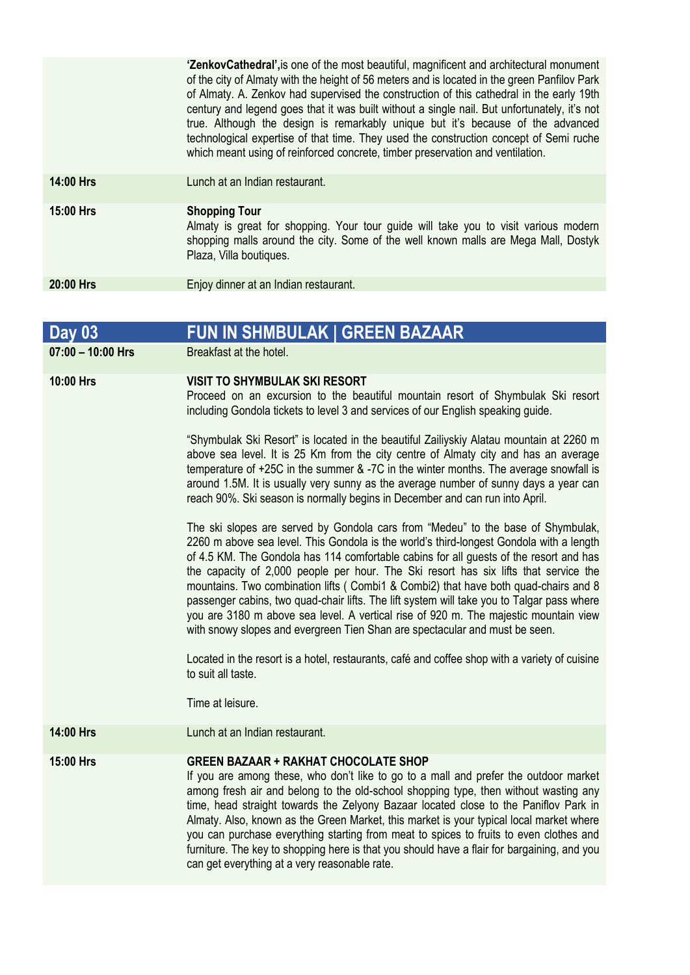**'ZenkovCathedral',**is one of the most beautiful, magnificent and architectural monument of the city of Almaty with the height of 56 meters and is located in the green Panfilov Park of Almaty. A. Zenkov had supervised the construction of this cathedral in the early 19th century and legend goes that it was built without a single nail. But unfortunately, it's not true. Although the design is remarkably unique but it's because of the advanced technological expertise of that time. They used the construction concept of Semi ruche which meant using of reinforced concrete, timber preservation and ventilation. **14:00 Hrs** Lunch at an Indian restaurant. **15:00 Hrs Shopping Tour** Almaty is great for shopping. Your tour guide will take you to visit various modern shopping malls around the city. Some of the well known malls are Mega Mall, Dostyk Plaza, Villa boutiques. **20:00 Hrs** Enjoy dinner at an Indian restaurant.

**Day 03 FUN IN SHMBULAK | GREEN BAZAAR** 

| Day U3            | FUN IN SHIWBULAN   UKEEN BAZAAK                                                                                                                                                                                                                                                                                                                                                                                                                                                                                                                                                                                                                                                                                                                                                                                                                  |
|-------------------|--------------------------------------------------------------------------------------------------------------------------------------------------------------------------------------------------------------------------------------------------------------------------------------------------------------------------------------------------------------------------------------------------------------------------------------------------------------------------------------------------------------------------------------------------------------------------------------------------------------------------------------------------------------------------------------------------------------------------------------------------------------------------------------------------------------------------------------------------|
| 07:00 - 10:00 Hrs | Breakfast at the hotel.                                                                                                                                                                                                                                                                                                                                                                                                                                                                                                                                                                                                                                                                                                                                                                                                                          |
| 10:00 Hrs         | <b>VISIT TO SHYMBULAK SKI RESORT</b><br>Proceed on an excursion to the beautiful mountain resort of Shymbulak Ski resort<br>including Gondola tickets to level 3 and services of our English speaking guide.                                                                                                                                                                                                                                                                                                                                                                                                                                                                                                                                                                                                                                     |
|                   | "Shymbulak Ski Resort" is located in the beautiful Zailiyskiy Alatau mountain at 2260 m<br>above sea level. It is 25 Km from the city centre of Almaty city and has an average<br>temperature of +25C in the summer & -7C in the winter months. The average snowfall is<br>around 1.5M. It is usually very sunny as the average number of sunny days a year can<br>reach 90%. Ski season is normally begins in December and can run into April.                                                                                                                                                                                                                                                                                                                                                                                                  |
|                   | The ski slopes are served by Gondola cars from "Medeu" to the base of Shymbulak,<br>2260 m above sea level. This Gondola is the world's third-longest Gondola with a length<br>of 4.5 KM. The Gondola has 114 comfortable cabins for all guests of the resort and has<br>the capacity of 2,000 people per hour. The Ski resort has six lifts that service the<br>mountains. Two combination lifts (Combi1 & Combi2) that have both quad-chairs and 8<br>passenger cabins, two quad-chair lifts. The lift system will take you to Talgar pass where<br>you are 3180 m above sea level. A vertical rise of 920 m. The majestic mountain view<br>with snowy slopes and evergreen Tien Shan are spectacular and must be seen.<br>Located in the resort is a hotel, restaurants, café and coffee shop with a variety of cuisine<br>to suit all taste. |
|                   | Time at leisure.                                                                                                                                                                                                                                                                                                                                                                                                                                                                                                                                                                                                                                                                                                                                                                                                                                 |
| 14:00 Hrs         | Lunch at an Indian restaurant.                                                                                                                                                                                                                                                                                                                                                                                                                                                                                                                                                                                                                                                                                                                                                                                                                   |
| 15:00 Hrs         | <b>GREEN BAZAAR + RAKHAT CHOCOLATE SHOP</b><br>If you are among these, who don't like to go to a mall and prefer the outdoor market<br>among fresh air and belong to the old-school shopping type, then without wasting any<br>time, head straight towards the Zelyony Bazaar located close to the Paniflov Park in<br>Almaty. Also, known as the Green Market, this market is your typical local market where<br>you can purchase everything starting from meat to spices to fruits to even clothes and<br>furniture. The key to shopping here is that you should have a flair for bargaining, and you<br>can get everything at a very reasonable rate.                                                                                                                                                                                         |